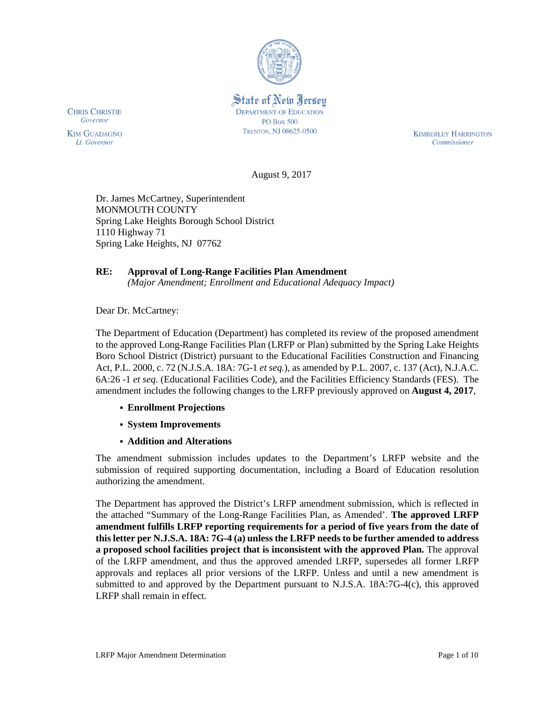

State of New Jersey **DEPARTMENT OF EDUCATION PO Box 500** TRENTON, NJ 08625-0500

**CHRIS CHRISTIE** Governor

**KIM GUADAGNO** Lt. Governor

**KIMBERLEY HARRINGTON** Commissioner

August 9, 2017

Dr. James McCartney, Superintendent MONMOUTH COUNTY Spring Lake Heights Borough School District 1110 Highway 71 Spring Lake Heights, NJ 07762

# **RE: Approval of Long-Range Facilities Plan Amendment**

*(Major Amendment; Enrollment and Educational Adequacy Impact)*

Dear Dr. McCartney:

The Department of Education (Department) has completed its review of the proposed amendment to the approved Long-Range Facilities Plan (LRFP or Plan) submitted by the Spring Lake Heights Boro School District (District) pursuant to the Educational Facilities Construction and Financing Act, P.L. 2000, c. 72 (N.J.S.A. 18A: 7G-1 *et seq.*), as amended by P.L. 2007, c. 137 (Act), N.J.A.C. 6A:26 -1 *et seq.* (Educational Facilities Code), and the Facilities Efficiency Standards (FES). The amendment includes the following changes to the LRFP previously approved on **August 4, 2017**,

- **Enrollment Projections**
- **System Improvements**
- **Addition and Alterations**

The amendment submission includes updates to the Department's LRFP website and the submission of required supporting documentation, including a Board of Education resolution authorizing the amendment.

The Department has approved the District's LRFP amendment submission, which is reflected in the attached "Summary of the Long-Range Facilities Plan, as Amended'. **The approved LRFP amendment fulfills LRFP reporting requirements for a period of five years from the date of this letter per N.J.S.A. 18A: 7G-4 (a) unless the LRFP needs to be further amended to address a proposed school facilities project that is inconsistent with the approved Plan.** The approval of the LRFP amendment, and thus the approved amended LRFP, supersedes all former LRFP approvals and replaces all prior versions of the LRFP. Unless and until a new amendment is submitted to and approved by the Department pursuant to N.J.S.A. 18A:7G-4(c), this approved LRFP shall remain in effect.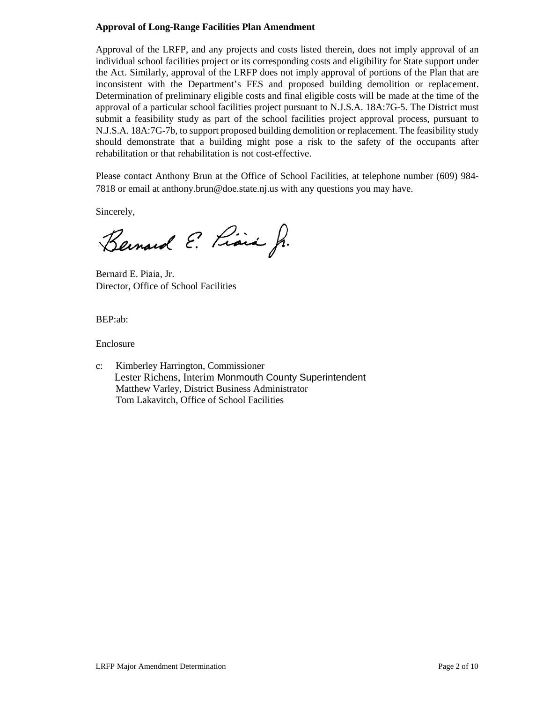## **Approval of Long-Range Facilities Plan Amendment**

Approval of the LRFP, and any projects and costs listed therein, does not imply approval of an individual school facilities project or its corresponding costs and eligibility for State support under the Act. Similarly, approval of the LRFP does not imply approval of portions of the Plan that are inconsistent with the Department's FES and proposed building demolition or replacement. Determination of preliminary eligible costs and final eligible costs will be made at the time of the approval of a particular school facilities project pursuant to N.J.S.A. 18A:7G-5. The District must submit a feasibility study as part of the school facilities project approval process, pursuant to N.J.S.A. 18A:7G-7b, to support proposed building demolition or replacement. The feasibility study should demonstrate that a building might pose a risk to the safety of the occupants after rehabilitation or that rehabilitation is not cost-effective.

Please contact Anthony Brun at the Office of School Facilities, at telephone number (609) 984- 7818 or email at anthony.brun@doe.state.nj.us with any questions you may have.

Sincerely,

Bernard E. Piara J.

Bernard E. Piaia, Jr. Director, Office of School Facilities

BEP:ab:

Enclosure

c: Kimberley Harrington, Commissioner Lester Richens, Interim Monmouth County Superintendent Matthew Varley, District Business Administrator Tom Lakavitch, Office of School Facilities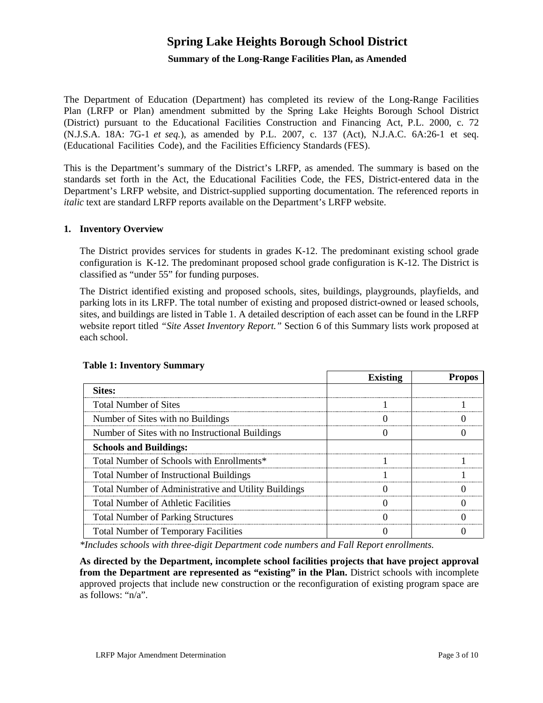# **Spring Lake Heights Borough School District**

#### **Summary of the Long-Range Facilities Plan, as Amended**

The Department of Education (Department) has completed its review of the Long-Range Facilities Plan (LRFP or Plan) amendment submitted by the Spring Lake Heights Borough School District (District) pursuant to the Educational Facilities Construction and Financing Act, P.L. 2000, c. 72 (N.J.S.A. 18A: 7G-1 *et seq.*), as amended by P.L. 2007, c. 137 (Act), N.J.A.C. 6A:26-1 et seq. (Educational Facilities Code), and the Facilities Efficiency Standards (FES).

This is the Department's summary of the District's LRFP, as amended. The summary is based on the standards set forth in the Act, the Educational Facilities Code, the FES, District-entered data in the Department's LRFP website, and District-supplied supporting documentation. The referenced reports in *italic* text are standard LRFP reports available on the Department's LRFP website.

#### **1. Inventory Overview**

The District provides services for students in grades K-12. The predominant existing school grade configuration is K-12. The predominant proposed school grade configuration is K-12. The District is classified as "under 55" for funding purposes.

The District identified existing and proposed schools, sites, buildings, playgrounds, playfields, and parking lots in its LRFP. The total number of existing and proposed district-owned or leased schools, sites, and buildings are listed in Table 1. A detailed description of each asset can be found in the LRFP website report titled *"Site Asset Inventory Report."* Section 6 of this Summary lists work proposed at each school.

|                                                      | <b>Existing</b> | Propos |
|------------------------------------------------------|-----------------|--------|
| Sites:                                               |                 |        |
| <b>Total Number of Sites</b>                         |                 |        |
| Number of Sites with no Buildings                    |                 |        |
| Number of Sites with no Instructional Buildings      |                 |        |
| <b>Schools and Buildings:</b>                        |                 |        |
| Total Number of Schools with Enrollments*            |                 |        |
| <b>Total Number of Instructional Buildings</b>       |                 |        |
| Total Number of Administrative and Utility Buildings |                 |        |
| <b>Total Number of Athletic Facilities</b>           |                 |        |
| <b>Total Number of Parking Structures</b>            |                 |        |
| <b>Total Number of Temporary Facilities</b>          |                 |        |

#### **Table 1: Inventory Summary**

*\*Includes schools with three-digit Department code numbers and Fall Report enrollments.*

**As directed by the Department, incomplete school facilities projects that have project approval from the Department are represented as "existing" in the Plan.** District schools with incomplete approved projects that include new construction or the reconfiguration of existing program space are as follows: "n/a".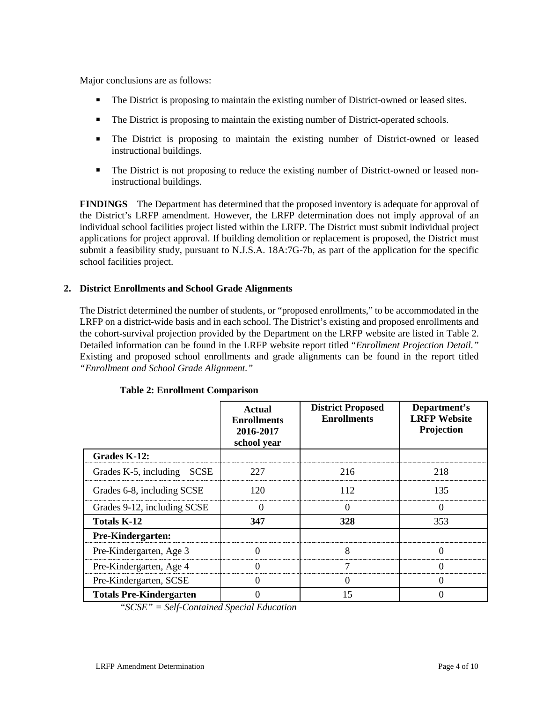Major conclusions are as follows:

- The District is proposing to maintain the existing number of District-owned or leased sites.
- The District is proposing to maintain the existing number of District-operated schools.
- The District is proposing to maintain the existing number of District-owned or leased instructional buildings.
- The District is not proposing to reduce the existing number of District-owned or leased noninstructional buildings.

**FINDINGS** The Department has determined that the proposed inventory is adequate for approval of the District's LRFP amendment. However, the LRFP determination does not imply approval of an individual school facilities project listed within the LRFP. The District must submit individual project applications for project approval. If building demolition or replacement is proposed, the District must submit a feasibility study, pursuant to N.J.S.A. 18A:7G-7b, as part of the application for the specific school facilities project.

## **2. District Enrollments and School Grade Alignments**

The District determined the number of students, or "proposed enrollments," to be accommodated in the LRFP on a district-wide basis and in each school. The District's existing and proposed enrollments and the cohort-survival projection provided by the Department on the LRFP website are listed in Table 2. Detailed information can be found in the LRFP website report titled "*Enrollment Projection Detail."* Existing and proposed school enrollments and grade alignments can be found in the report titled *"Enrollment and School Grade Alignment."*

|                                | <b>Actual</b><br><b>Enrollments</b><br>2016-2017<br>school year | <b>District Proposed</b><br><b>Enrollments</b> | Department's<br><b>LRFP</b> Website<br>Projection |
|--------------------------------|-----------------------------------------------------------------|------------------------------------------------|---------------------------------------------------|
| Grades K-12:                   |                                                                 |                                                |                                                   |
| Grades K-5, including SCSE     | 227                                                             | 216                                            | 218                                               |
| Grades 6-8, including SCSE     | 120                                                             | 112                                            | 135                                               |
| Grades 9-12, including SCSE    |                                                                 |                                                | 0                                                 |
| Totals K-12                    | 347                                                             | 328                                            | 353                                               |
| <b>Pre-Kindergarten:</b>       |                                                                 |                                                |                                                   |
| Pre-Kindergarten, Age 3        |                                                                 |                                                |                                                   |
| Pre-Kindergarten, Age 4        |                                                                 |                                                |                                                   |
| Pre-Kindergarten, SCSE         |                                                                 |                                                |                                                   |
| <b>Totals Pre-Kindergarten</b> |                                                                 | 15                                             |                                                   |

#### **Table 2: Enrollment Comparison**

*"SCSE" = Self-Contained Special Education*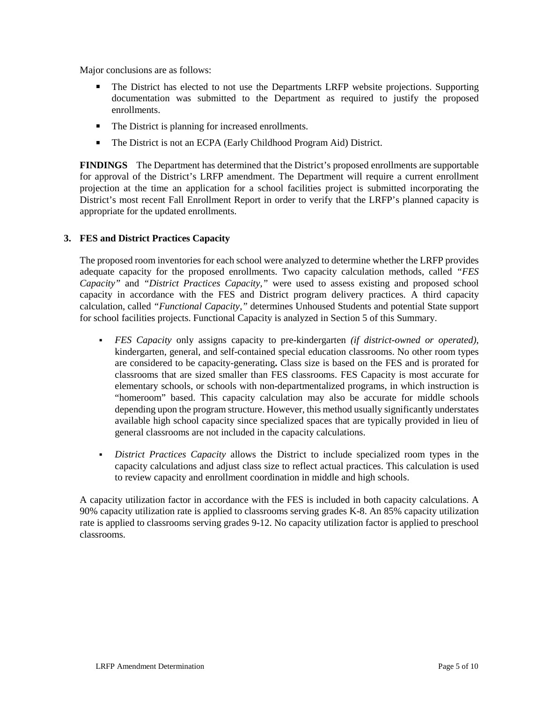Major conclusions are as follows:

- The District has elected to not use the Departments LRFP website projections. Supporting documentation was submitted to the Department as required to justify the proposed enrollments.
- The District is planning for increased enrollments.
- The District is not an ECPA (Early Childhood Program Aid) District.

**FINDINGS** The Department has determined that the District's proposed enrollments are supportable for approval of the District's LRFP amendment. The Department will require a current enrollment projection at the time an application for a school facilities project is submitted incorporating the District's most recent Fall Enrollment Report in order to verify that the LRFP's planned capacity is appropriate for the updated enrollments.

#### **3. FES and District Practices Capacity**

The proposed room inventories for each school were analyzed to determine whether the LRFP provides adequate capacity for the proposed enrollments. Two capacity calculation methods, called *"FES Capacity"* and *"District Practices Capacity,"* were used to assess existing and proposed school capacity in accordance with the FES and District program delivery practices. A third capacity calculation, called *"Functional Capacity,"* determines Unhoused Students and potential State support for school facilities projects. Functional Capacity is analyzed in Section 5 of this Summary.

- *FES Capacity* only assigns capacity to pre-kindergarten *(if district-owned or operated),* kindergarten, general, and self-contained special education classrooms. No other room types are considered to be capacity-generating**.** Class size is based on the FES and is prorated for classrooms that are sized smaller than FES classrooms. FES Capacity is most accurate for elementary schools, or schools with non-departmentalized programs, in which instruction is "homeroom" based. This capacity calculation may also be accurate for middle schools depending upon the program structure. However, this method usually significantly understates available high school capacity since specialized spaces that are typically provided in lieu of general classrooms are not included in the capacity calculations.
- *District Practices Capacity* allows the District to include specialized room types in the capacity calculations and adjust class size to reflect actual practices. This calculation is used to review capacity and enrollment coordination in middle and high schools.

A capacity utilization factor in accordance with the FES is included in both capacity calculations. A 90% capacity utilization rate is applied to classrooms serving grades K-8. An 85% capacity utilization rate is applied to classrooms serving grades 9-12. No capacity utilization factor is applied to preschool classrooms.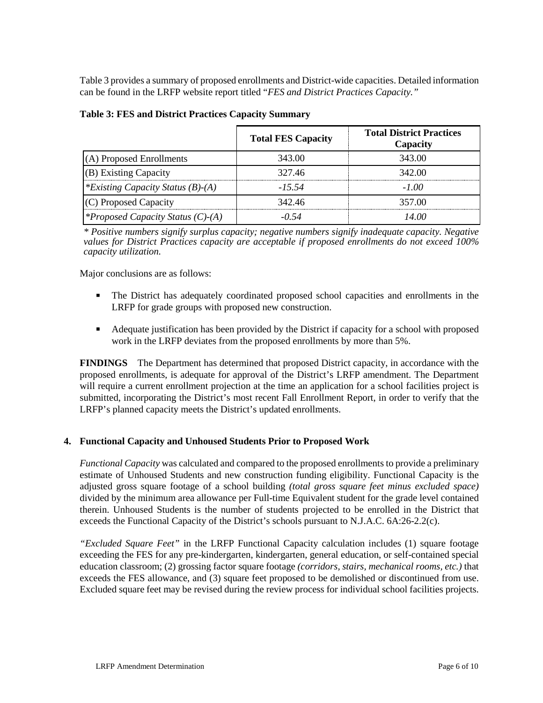Table 3 provides a summary of proposed enrollments and District-wide capacities. Detailed information can be found in the LRFP website report titled "*FES and District Practices Capacity."*

|                                          | <b>Total FES Capacity</b> | <b>Total District Practices</b><br>Capacity |
|------------------------------------------|---------------------------|---------------------------------------------|
| (A) Proposed Enrollments                 | 343.00                    | 343.00                                      |
| (B) Existing Capacity                    | 327.46                    | 342.00                                      |
| *Existing Capacity Status $(B)$ - $(A)$  | $-15.54$                  | -100                                        |
| (C) Proposed Capacity                    | 342.46                    | 357.00                                      |
| <i>*Proposed Capacity Status (C)-(A)</i> | -0 54                     | 14 OO                                       |

|  |  |  |  |  | <b>Table 3: FES and District Practices Capacity Summary</b> |
|--|--|--|--|--|-------------------------------------------------------------|
|--|--|--|--|--|-------------------------------------------------------------|

*\* Positive numbers signify surplus capacity; negative numbers signify inadequate capacity. Negative values for District Practices capacity are acceptable if proposed enrollments do not exceed 100% capacity utilization.*

Major conclusions are as follows:

- The District has adequately coordinated proposed school capacities and enrollments in the LRFP for grade groups with proposed new construction.
- Adequate justification has been provided by the District if capacity for a school with proposed work in the LRFP deviates from the proposed enrollments by more than 5%.

**FINDINGS** The Department has determined that proposed District capacity, in accordance with the proposed enrollments, is adequate for approval of the District's LRFP amendment. The Department will require a current enrollment projection at the time an application for a school facilities project is submitted, incorporating the District's most recent Fall Enrollment Report, in order to verify that the LRFP's planned capacity meets the District's updated enrollments.

# **4. Functional Capacity and Unhoused Students Prior to Proposed Work**

*Functional Capacity* was calculated and compared to the proposed enrollments to provide a preliminary estimate of Unhoused Students and new construction funding eligibility. Functional Capacity is the adjusted gross square footage of a school building *(total gross square feet minus excluded space)* divided by the minimum area allowance per Full-time Equivalent student for the grade level contained therein. Unhoused Students is the number of students projected to be enrolled in the District that exceeds the Functional Capacity of the District's schools pursuant to N.J.A.C. 6A:26-2.2(c).

*"Excluded Square Feet"* in the LRFP Functional Capacity calculation includes (1) square footage exceeding the FES for any pre-kindergarten, kindergarten, general education, or self-contained special education classroom; (2) grossing factor square footage *(corridors, stairs, mechanical rooms, etc.)* that exceeds the FES allowance, and (3) square feet proposed to be demolished or discontinued from use. Excluded square feet may be revised during the review process for individual school facilities projects.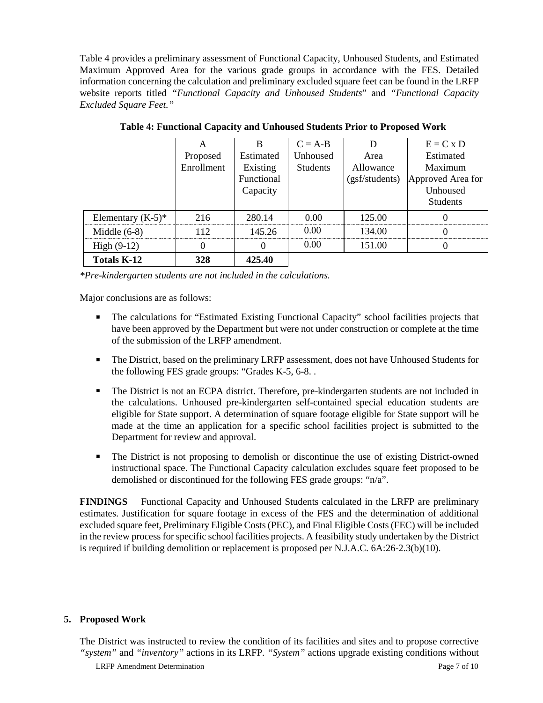Table 4 provides a preliminary assessment of Functional Capacity, Unhoused Students, and Estimated Maximum Approved Area for the various grade groups in accordance with the FES. Detailed information concerning the calculation and preliminary excluded square feet can be found in the LRFP website reports titled *"Functional Capacity and Unhoused Students*" and *"Functional Capacity Excluded Square Feet."*

|                      |            |            | $C = A-B$       |                | $E = C x D$       |
|----------------------|------------|------------|-----------------|----------------|-------------------|
|                      | Proposed   | Estimated  | Unhoused        | Area           | Estimated         |
|                      | Enrollment | Existing   | <b>Students</b> | Allowance      | Maximum           |
|                      |            | Functional |                 | (gsf/students) | Approved Area for |
|                      |            | Capacity   |                 |                | Unhoused          |
|                      |            |            |                 |                | <b>Students</b>   |
| Elementary $(K-5)^*$ | 216        | 280.14     | 0.00            | 125.00         |                   |
| Middle $(6-8)$       | 112        | 145 26     | 0.00            | 134.00         |                   |
| High $(9-12)$        |            |            | 0.00            | 151.00         |                   |
| <b>Totals K-12</b>   | 328        | 425.40     |                 |                |                   |

**Table 4: Functional Capacity and Unhoused Students Prior to Proposed Work**

*\*Pre-kindergarten students are not included in the calculations.*

Major conclusions are as follows:

- **The calculations for "Estimated Existing Functional Capacity" school facilities projects that** have been approved by the Department but were not under construction or complete at the time of the submission of the LRFP amendment.
- The District, based on the preliminary LRFP assessment, does not have Unhoused Students for the following FES grade groups: "Grades K-5, 6-8. .
- The District is not an ECPA district. Therefore, pre-kindergarten students are not included in the calculations. Unhoused pre-kindergarten self-contained special education students are eligible for State support. A determination of square footage eligible for State support will be made at the time an application for a specific school facilities project is submitted to the Department for review and approval.
- The District is not proposing to demolish or discontinue the use of existing District-owned instructional space. The Functional Capacity calculation excludes square feet proposed to be demolished or discontinued for the following FES grade groups: "n/a".

**FINDINGS** Functional Capacity and Unhoused Students calculated in the LRFP are preliminary estimates. Justification for square footage in excess of the FES and the determination of additional excluded square feet, Preliminary Eligible Costs (PEC), and Final Eligible Costs (FEC) will be included in the review process for specific school facilities projects. A feasibility study undertaken by the District is required if building demolition or replacement is proposed per N.J.A.C. 6A:26-2.3(b)(10).

#### **5. Proposed Work**

The District was instructed to review the condition of its facilities and sites and to propose corrective *"system"* and *"inventory"* actions in its LRFP. *"System"* actions upgrade existing conditions without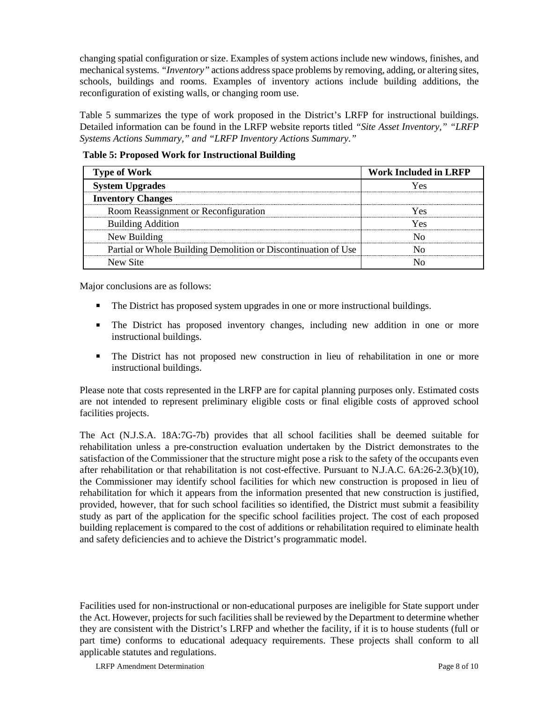changing spatial configuration or size. Examples of system actions include new windows, finishes, and mechanical systems. *"Inventory"* actions address space problems by removing, adding, or altering sites, schools, buildings and rooms. Examples of inventory actions include building additions, the reconfiguration of existing walls, or changing room use.

Table 5 summarizes the type of work proposed in the District's LRFP for instructional buildings. Detailed information can be found in the LRFP website reports titled *"Site Asset Inventory," "LRFP Systems Actions Summary," and "LRFP Inventory Actions Summary."* 

| <b>Table 5: Proposed Work for Instructional Building</b> |  |
|----------------------------------------------------------|--|
|----------------------------------------------------------|--|

| <b>Type of Work</b>                                            | <b>Work Included in LRFP</b> |
|----------------------------------------------------------------|------------------------------|
| <b>System Upgrades</b>                                         | ۷Ας                          |
| <b>Inventory Changes</b>                                       |                              |
| Room Reassignment or Reconfiguration                           | Yes                          |
| <b>Building Addition</b>                                       | Yes                          |
| New Building                                                   |                              |
| Partial or Whole Building Demolition or Discontinuation of Use |                              |
| New Site                                                       |                              |

Major conclusions are as follows:

- The District has proposed system upgrades in one or more instructional buildings.
- The District has proposed inventory changes, including new addition in one or more instructional buildings.
- The District has not proposed new construction in lieu of rehabilitation in one or more instructional buildings.

Please note that costs represented in the LRFP are for capital planning purposes only. Estimated costs are not intended to represent preliminary eligible costs or final eligible costs of approved school facilities projects.

The Act (N.J.S.A. 18A:7G-7b) provides that all school facilities shall be deemed suitable for rehabilitation unless a pre-construction evaluation undertaken by the District demonstrates to the satisfaction of the Commissioner that the structure might pose a risk to the safety of the occupants even after rehabilitation or that rehabilitation is not cost-effective. Pursuant to N.J.A.C. 6A:26-2.3(b)(10), the Commissioner may identify school facilities for which new construction is proposed in lieu of rehabilitation for which it appears from the information presented that new construction is justified, provided, however, that for such school facilities so identified, the District must submit a feasibility study as part of the application for the specific school facilities project. The cost of each proposed building replacement is compared to the cost of additions or rehabilitation required to eliminate health and safety deficiencies and to achieve the District's programmatic model.

Facilities used for non-instructional or non-educational purposes are ineligible for State support under the Act. However, projects for such facilities shall be reviewed by the Department to determine whether they are consistent with the District's LRFP and whether the facility, if it is to house students (full or part time) conforms to educational adequacy requirements. These projects shall conform to all applicable statutes and regulations.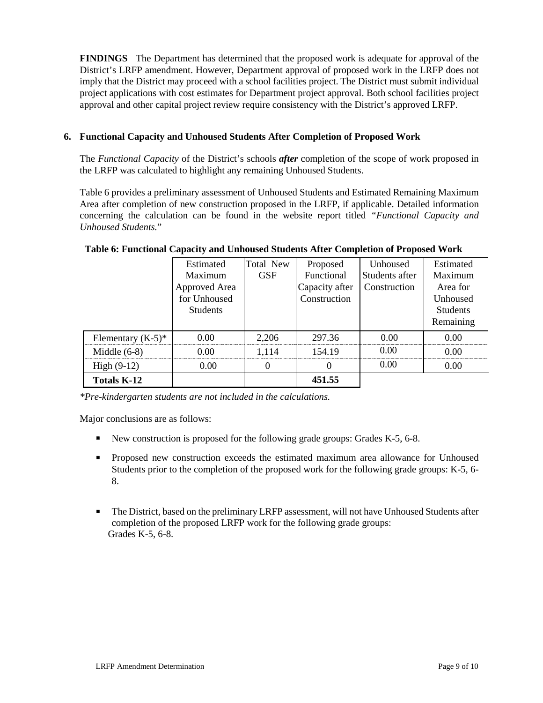**FINDINGS** The Department has determined that the proposed work is adequate for approval of the District's LRFP amendment. However, Department approval of proposed work in the LRFP does not imply that the District may proceed with a school facilities project. The District must submit individual project applications with cost estimates for Department project approval. Both school facilities project approval and other capital project review require consistency with the District's approved LRFP.

# **6. Functional Capacity and Unhoused Students After Completion of Proposed Work**

The *Functional Capacity* of the District's schools *after* completion of the scope of work proposed in the LRFP was calculated to highlight any remaining Unhoused Students.

Table 6 provides a preliminary assessment of Unhoused Students and Estimated Remaining Maximum Area after completion of new construction proposed in the LRFP, if applicable. Detailed information concerning the calculation can be found in the website report titled *"Functional Capacity and Unhoused Students.*"

|                      | Estimated       | Total New  | Proposed       | Unhoused       | Estimated       |
|----------------------|-----------------|------------|----------------|----------------|-----------------|
|                      | Maximum         | <b>GSF</b> | Functional     | Students after | Maximum         |
|                      | Approved Area   |            | Capacity after | Construction   | Area for        |
|                      | for Unhoused    |            | Construction   |                | Unhoused        |
|                      | <b>Students</b> |            |                |                | <b>Students</b> |
|                      |                 |            |                |                | Remaining       |
| Elementary $(K-5)^*$ | 0.00            | 2,206      | 297.36         | 0.00           | 0.00            |
| Middle $(6-8)$       | 0.00            | 1.114      | 154.19         | 0.00           | 0.00            |
| High $(9-12)$        | 0.00            | 0          |                | 0.00           | 0.00            |
| <b>Totals K-12</b>   |                 |            | 451.55         |                |                 |

#### **Table 6: Functional Capacity and Unhoused Students After Completion of Proposed Work**

*\*Pre-kindergarten students are not included in the calculations.*

Major conclusions are as follows:

- New construction is proposed for the following grade groups: Grades K-5, 6-8.
- Proposed new construction exceeds the estimated maximum area allowance for Unhoused Students prior to the completion of the proposed work for the following grade groups: K-5, 6- 8.
- The District, based on the preliminary LRFP assessment, will not have Unhoused Students after completion of the proposed LRFP work for the following grade groups: Grades K-5, 6-8.